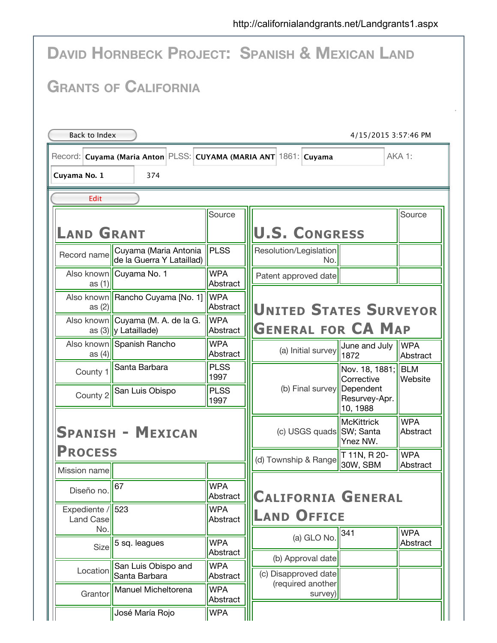|                                                    | <b>DAVID HORNBECK PROJECT: SPANISH &amp; MEXICAN LAND</b>         |                        |                                           |                                            |                        |
|----------------------------------------------------|-------------------------------------------------------------------|------------------------|-------------------------------------------|--------------------------------------------|------------------------|
|                                                    | <b>GRANTS OF CALIFORNIA</b>                                       |                        |                                           |                                            |                        |
| Back to Index                                      |                                                                   |                        |                                           | 4/15/2015 3:57:46 PM                       |                        |
|                                                    | Record: Cuyama (Maria Anton PLSS: CUYAMA (MARIA ANT 1861: Cuyama  |                        |                                           |                                            | AKA 1:                 |
| Cuyama No. 1                                       | 374                                                               |                        |                                           |                                            |                        |
| Edit                                               |                                                                   |                        |                                           |                                            |                        |
| <b>LAND GRANT</b>                                  |                                                                   | Source                 | <b>U.S. CONGRESS</b>                      |                                            | Source                 |
| Record name                                        | Cuyama (Maria Antonia<br>de la Guerra Y Lataillad)                | <b>PLSS</b>            | Resolution/Legislation<br>No.             |                                            |                        |
| as $(1)$                                           | Also known   Cuyama No. 1                                         | <b>WPA</b><br>Abstract | Patent approved date                      |                                            |                        |
| as $(2)$                                           | Also known   Rancho Cuyama [No. 1]                                | <b>WPA</b><br>Abstract | <b>UNITED STATES SURVEYOR</b>             |                                            |                        |
|                                                    | Also known   Cuyama (M. A. de la G.<br>as $(3)$ $ y $ Lataillade) | <b>WPA</b><br>Abstract | <b>GENERAL FOR CA MAP</b>                 |                                            |                        |
| as $(4)$                                           | Also known Spanish Rancho                                         | <b>WPA</b><br>Abstract | (a) Initial survey                        | June and July<br>1872                      | <b>WPA</b><br>Abstract |
| County 1                                           | Santa Barbara                                                     | <b>PLSS</b><br>1997    |                                           | Nov. 18, 1881;<br>Corrective               | <b>BLM</b><br>Website  |
|                                                    | County 2 San Luis Obispo                                          | <b>PLSS</b><br>1997    | (b) Final survey                          | Dependent<br>Resurvey-Apr.<br>10, 1988     |                        |
| <b>SPANISH - MEXICAN</b>                           |                                                                   |                        | (c) USGS quads                            | <b>McKittrick</b><br>SW; Santa<br>Ynez NW. | <b>WPA</b><br>Abstract |
| <b>PROCESS</b><br>Mission name                     |                                                                   |                        | (d) Township & Range                      | T 11N, R 20-<br>30W, SBM                   | <b>WPA</b><br>Abstract |
| Diseño no.                                         | 67                                                                | <b>WPA</b><br>Abstract | <b>CALIFORNIA GENERAL</b>                 |                                            |                        |
| Expediente / $\frac{1}{3}$ 523<br><b>Land Case</b> |                                                                   | <b>WPA</b><br>Abstract | <b>LAND OFFICE</b>                        |                                            |                        |
| No.<br>Size                                        | 5 sq. leagues                                                     | <b>WPA</b><br>Abstract | (a) GLO No.                               | 341                                        | <b>WPA</b><br>Abstract |
| Location                                           | San Luis Obispo and<br>Santa Barbara                              | <b>WPA</b><br>Abstract | (b) Approval date<br>(c) Disapproved date |                                            |                        |
| Grantor                                            | Manuel Micheltorena                                               | <b>WPA</b><br>Abstract | (required another<br>survey)              |                                            |                        |
|                                                    | José María Rojo                                                   | <b>WPA</b>             |                                           |                                            |                        |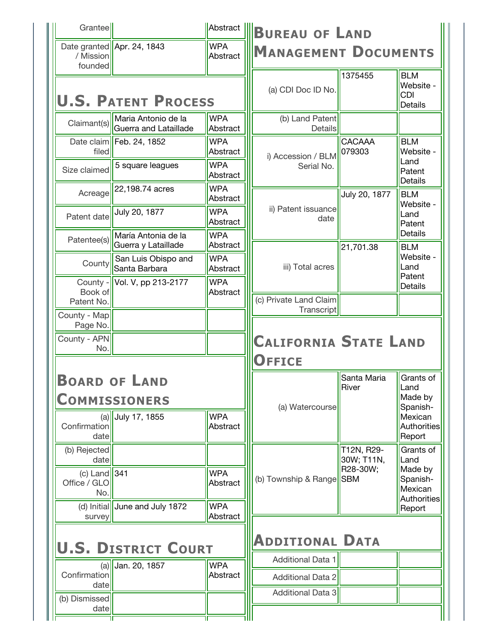| Grantee                               |                                              |                        | Abstract <b>BUREAU OF LAND</b>                       |                          |                                                         |
|---------------------------------------|----------------------------------------------|------------------------|------------------------------------------------------|--------------------------|---------------------------------------------------------|
| / Mission<br>founded                  | Date granted Apr. 24, 1843                   | <b>WPA</b><br>Abstract | <b>MANAGEMENT DOCUMENTS</b>                          |                          |                                                         |
|                                       | <b>U.S. PATENT PROCESS</b>                   |                        | (a) CDI Doc ID No.                                   | 1375455                  | <b>BLM</b><br>Website -<br><b>CDI</b><br><b>Details</b> |
| Claimant(s)                           | Maria Antonio de la<br>Guerra and Lataillade | <b>WPA</b><br>Abstract | (b) Land Patent<br>Details                           |                          |                                                         |
| filed                                 | Date claim   Feb. 24, 1852                   | <b>WPA</b><br>Abstract | i) Accession / BLM                                   | <b>CACAAA</b><br>079303  | <b>BLM</b><br>Website -                                 |
| Size claimed                          | 5 square leagues                             | <b>WPA</b><br>Abstract | Serial No.                                           |                          | Land<br>Patent<br>Details                               |
| Acreage                               | 22,198.74 acres                              | <b>WPA</b><br>Abstract |                                                      | July 20, 1877            | <b>BLM</b><br>Website -                                 |
| Patent date                           | July 20, 1877                                | <b>WPA</b><br>Abstract | ii) Patent issuance<br>date                          |                          | Land<br>Patent                                          |
| Patentee(s)                           | María Antonia de la<br>Guerra y Lataillade   | <b>WPA</b><br>Abstract |                                                      | 21,701.38                | Details<br><b>BLM</b>                                   |
| County                                | San Luis Obispo and<br>Santa Barbara         | <b>WPA</b><br>Abstract | iii) Total acres                                     |                          | Website -<br>Land<br>Patent                             |
| County -                              | Vol. V, pp 213-2177                          | <b>WPA</b><br>Abstract |                                                      |                          | Details                                                 |
| Book of<br>Patent No.                 |                                              |                        | (c) Private Land Claim                               |                          |                                                         |
| County - Map                          |                                              |                        | Transcript                                           |                          |                                                         |
| Page No.<br>County - APN              |                                              |                        | <b>CALIFORNIA STATE LAND</b>                         |                          |                                                         |
| No.                                   |                                              |                        | <b>OFFICE</b>                                        |                          |                                                         |
|                                       | <b>BOARD OF LAND</b><br><b>COMMISSIONERS</b> |                        |                                                      | Santa Maria<br>River     | Grants of<br>Land<br>Made by                            |
| Confirmation<br>date                  | (a) July 17, 1855                            | <b>WPA</b><br>Abstract | (a) Watercourse                                      |                          | Spanish-<br>Mexican<br>Report                           |
| (b) Rejected<br>date                  |                                              |                        |                                                      | T12N, R29-<br>30W; T11N, | Grants of<br>Land                                       |
| (c) Land $341$<br>Office / GLO<br>No. |                                              | <b>WPA</b><br>Abstract | (b) Township & Range                                 | R28-30W;<br><b>SBM</b>   | Made by<br>Spanish-<br>Mexican                          |
| survey                                | (d) Initial June and July 1872               | <b>WPA</b><br>Abstract |                                                      |                          | Report                                                  |
|                                       | <b>U.S. DISTRICT COURT</b>                   |                        | <b>ADDITIONAL DATA</b>                               |                          |                                                         |
| Confirmation                          | $(a)$ Uan. 20, 1857                          | <b>WPA</b><br>Abstract | <b>Additional Data 1</b>                             |                          |                                                         |
| date<br>(b) Dismissed                 |                                              |                        | <b>Additional Data 2</b><br><b>Additional Data 3</b> |                          | Authorities<br>Authorities                              |